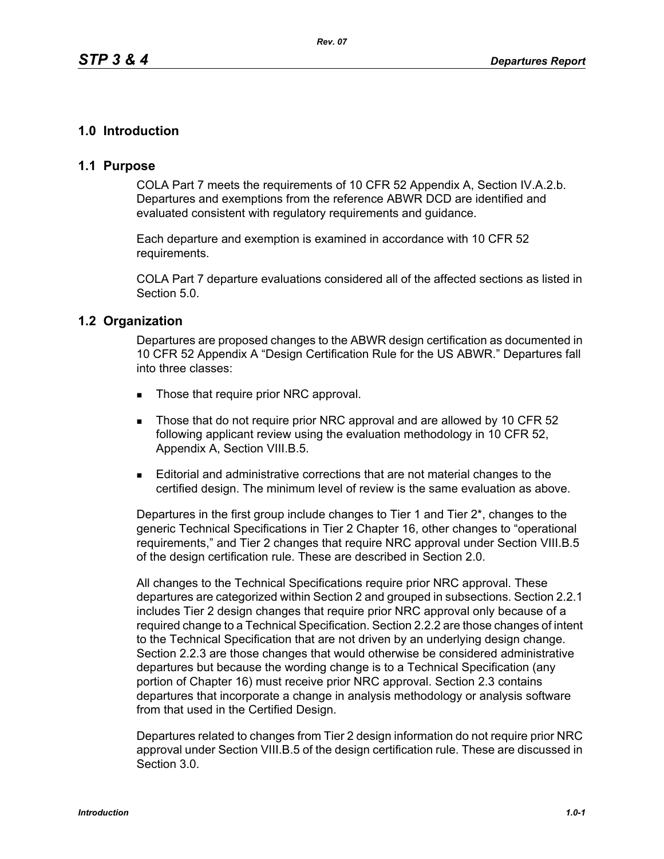# **1.0 Introduction**

# **1.1 Purpose**

COLA Part 7 meets the requirements of 10 CFR 52 Appendix A, Section IV.A.2.b. Departures and exemptions from the reference ABWR DCD are identified and evaluated consistent with regulatory requirements and guidance.

Each departure and exemption is examined in accordance with 10 CFR 52 requirements.

COLA Part 7 departure evaluations considered all of the affected sections as listed in Section 5.0.

## **1.2 Organization**

Departures are proposed changes to the ABWR design certification as documented in 10 CFR 52 Appendix A "Design Certification Rule for the US ABWR." Departures fall into three classes:

- Those that require prior NRC approval.
- Those that do not require prior NRC approval and are allowed by 10 CFR 52 following applicant review using the evaluation methodology in 10 CFR 52, Appendix A, Section VIII.B.5.
- Editorial and administrative corrections that are not material changes to the certified design. The minimum level of review is the same evaluation as above.

Departures in the first group include changes to Tier 1 and Tier 2\*, changes to the generic Technical Specifications in Tier 2 Chapter 16, other changes to "operational requirements," and Tier 2 changes that require NRC approval under Section VIII.B.5 of the design certification rule. These are described in Section 2.0.

All changes to the Technical Specifications require prior NRC approval. These departures are categorized within Section 2 and grouped in subsections. Section 2.2.1 includes Tier 2 design changes that require prior NRC approval only because of a required change to a Technical Specification. Section 2.2.2 are those changes of intent to the Technical Specification that are not driven by an underlying design change. Section 2.2.3 are those changes that would otherwise be considered administrative departures but because the wording change is to a Technical Specification (any portion of Chapter 16) must receive prior NRC approval. Section 2.3 contains departures that incorporate a change in analysis methodology or analysis software from that used in the Certified Design.

Departures related to changes from Tier 2 design information do not require prior NRC approval under Section VIII.B.5 of the design certification rule. These are discussed in Section 3.0.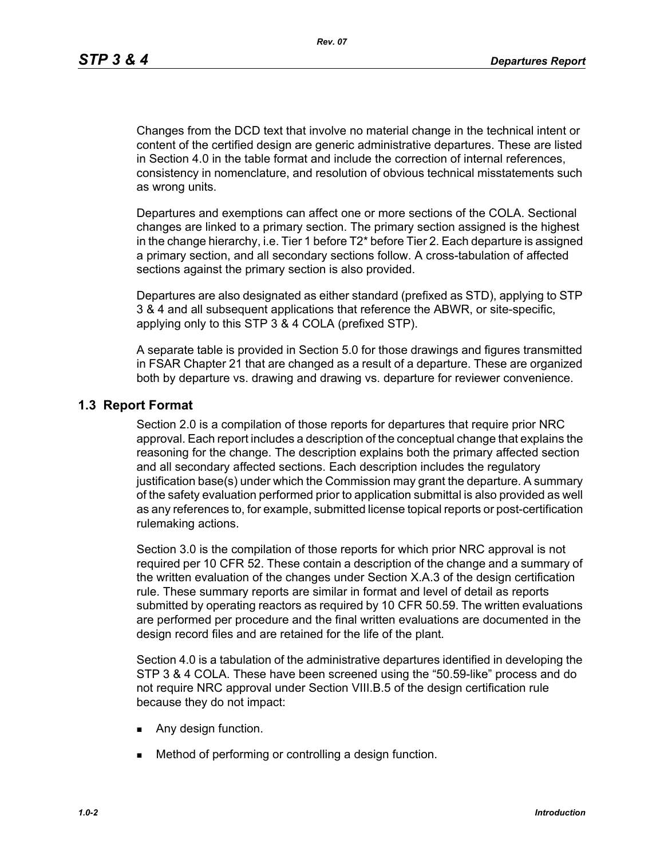Changes from the DCD text that involve no material change in the technical intent or content of the certified design are generic administrative departures. These are listed in Section 4.0 in the table format and include the correction of internal references, consistency in nomenclature, and resolution of obvious technical misstatements such as wrong units.

Departures and exemptions can affect one or more sections of the COLA. Sectional changes are linked to a primary section. The primary section assigned is the highest in the change hierarchy, i.e. Tier 1 before T2\* before Tier 2. Each departure is assigned a primary section, and all secondary sections follow. A cross-tabulation of affected sections against the primary section is also provided.

Departures are also designated as either standard (prefixed as STD), applying to STP 3 & 4 and all subsequent applications that reference the ABWR, or site-specific, applying only to this STP 3 & 4 COLA (prefixed STP).

A separate table is provided in Section 5.0 for those drawings and figures transmitted in FSAR Chapter 21 that are changed as a result of a departure. These are organized both by departure vs. drawing and drawing vs. departure for reviewer convenience.

## **1.3 Report Format**

Section 2.0 is a compilation of those reports for departures that require prior NRC approval. Each report includes a description of the conceptual change that explains the reasoning for the change. The description explains both the primary affected section and all secondary affected sections. Each description includes the regulatory justification base(s) under which the Commission may grant the departure. A summary of the safety evaluation performed prior to application submittal is also provided as well as any references to, for example, submitted license topical reports or post-certification rulemaking actions.

Section 3.0 is the compilation of those reports for which prior NRC approval is not required per 10 CFR 52. These contain a description of the change and a summary of the written evaluation of the changes under Section X.A.3 of the design certification rule. These summary reports are similar in format and level of detail as reports submitted by operating reactors as required by 10 CFR 50.59. The written evaluations are performed per procedure and the final written evaluations are documented in the design record files and are retained for the life of the plant*.*

Section 4.0 is a tabulation of the administrative departures identified in developing the STP 3 & 4 COLA. These have been screened using the "50.59-like" process and do not require NRC approval under Section VIII.B.5 of the design certification rule because they do not impact:

- **Any design function.**
- **Method of performing or controlling a design function.**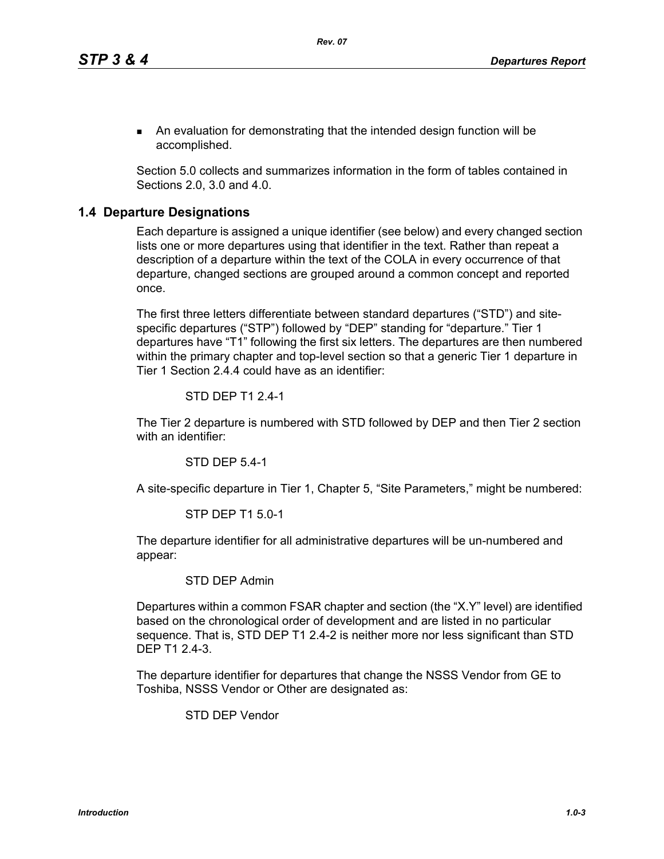An evaluation for demonstrating that the intended design function will be accomplished.

Section 5.0 collects and summarizes information in the form of tables contained in Sections 2.0, 3.0 and 4.0.

## **1.4 Departure Designations**

Each departure is assigned a unique identifier (see below) and every changed section lists one or more departures using that identifier in the text. Rather than repeat a description of a departure within the text of the COLA in every occurrence of that departure, changed sections are grouped around a common concept and reported once.

The first three letters differentiate between standard departures ("STD") and sitespecific departures ("STP") followed by "DEP" standing for "departure." Tier 1 departures have "T1" following the first six letters. The departures are then numbered within the primary chapter and top-level section so that a generic Tier 1 departure in Tier 1 Section 2.4.4 could have as an identifier:

#### STD DEP T1 2.4-1

The Tier 2 departure is numbered with STD followed by DEP and then Tier 2 section with an identifier:

STD DEP 5.4-1

A site-specific departure in Tier 1, Chapter 5, "Site Parameters," might be numbered:

#### STP DEP T1 5.0-1

The departure identifier for all administrative departures will be un-numbered and appear:

### STD DEP Admin

Departures within a common FSAR chapter and section (the "X.Y" level) are identified based on the chronological order of development and are listed in no particular sequence. That is, STD DEP T1 2.4-2 is neither more nor less significant than STD DEP T1 2.4-3.

The departure identifier for departures that change the NSSS Vendor from GE to Toshiba, NSSS Vendor or Other are designated as:

STD DEP Vendor